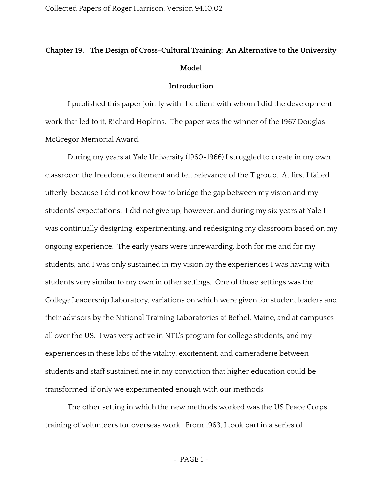# **Chapter 19. The Design of Cross-Cultural Training: An Alternative to the University Model**

#### **Introduction**

I published this paper jointly with the client with whom I did the development work that led to it, Richard Hopkins. The paper was the winner of the 1967 Douglas McGregor Memorial Award.

During my years at Yale University (1960-1966) I struggled to create in my own classroom the freedom, excitement and felt relevance of the T group. At first I failed utterly, because I did not know how to bridge the gap between my vision and my students' expectations. I did not give up, however, and during my six years at Yale I was continually designing, experimenting, and redesigning my classroom based on my ongoing experience. The early years were unrewarding, both for me and for my students, and I was only sustained in my vision by the experiences I was having with students very similar to my own in other settings. One of those settings was the College Leadership Laboratory, variations on which were given for student leaders and their advisors by the National Training Laboratories at Bethel, Maine, and at campuses all over the US. I was very active in NTL's program for college students, and my experiences in these labs of the vitality, excitement, and cameraderie between students and staff sustained me in my conviction that higher education could be transformed, if only we experimented enough with our methods.

The other setting in which the new methods worked was the US Peace Corps training of volunteers for overseas work. From 1963, I took part in a series of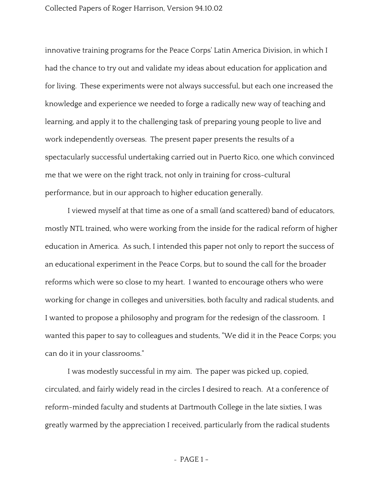innovative training programs for the Peace Corps' Latin America Division, in which I had the chance to try out and validate my ideas about education for application and for living. These experiments were not always successful, but each one increased the knowledge and experience we needed to forge a radically new way of teaching and learning, and apply it to the challenging task of preparing young people to live and work independently overseas. The present paper presents the results of a spectacularly successful undertaking carried out in Puerto Rico, one which convinced me that we were on the right track, not only in training for cross-cultural performance, but in our approach to higher education generally.

I viewed myself at that time as one of a small (and scattered) band of educators, mostly NTL trained, who were working from the inside for the radical reform of higher education in America. As such, I intended this paper not only to report the success of an educational experiment in the Peace Corps, but to sound the call for the broader reforms which were so close to my heart. I wanted to encourage others who were working for change in colleges and universities, both faculty and radical students, and I wanted to propose a philosophy and program for the redesign of the classroom. I wanted this paper to say to colleagues and students, "We did it in the Peace Corps; you can do it in your classrooms."

I was modestly successful in my aim. The paper was picked up, copied, circulated, and fairly widely read in the circles I desired to reach. At a conference of reform-minded faculty and students at Dartmouth College in the late sixties, I was greatly warmed by the appreciation I received, particularly from the radical students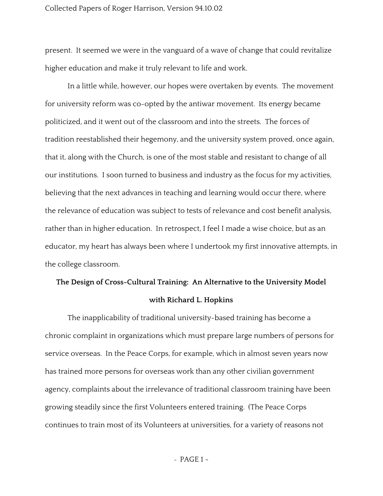present. It seemed we were in the vanguard of a wave of change that could revitalize higher education and make it truly relevant to life and work.

In a little while, however, our hopes were overtaken by events. The movement for university reform was co-opted by the antiwar movement. Its energy became politicized, and it went out of the classroom and into the streets. The forces of tradition reestablished their hegemony, and the university system proved, once again, that it, along with the Church, is one of the most stable and resistant to change of all our institutions. I soon turned to business and industry as the focus for my activities, believing that the next advances in teaching and learning would occur there, where the relevance of education was subject to tests of relevance and cost benefit analysis, rather than in higher education. In retrospect, I feel I made a wise choice, but as an educator, my heart has always been where I undertook my first innovative attempts, in the college classroom.

## **The Design of Cross-Cultural Training: An Alternative to the University Model with Richard L. Hopkins**

The inapplicability of traditional university-based training has become a chronic complaint in organizations which must prepare large numbers of persons for service overseas. In the Peace Corps, for example, which in almost seven years now has trained more persons for overseas work than any other civilian government agency, complaints about the irrelevance of traditional classroom training have been growing steadily since the first Volunteers entered training. (The Peace Corps continues to train most of its Volunteers at universities, for a variety of reasons not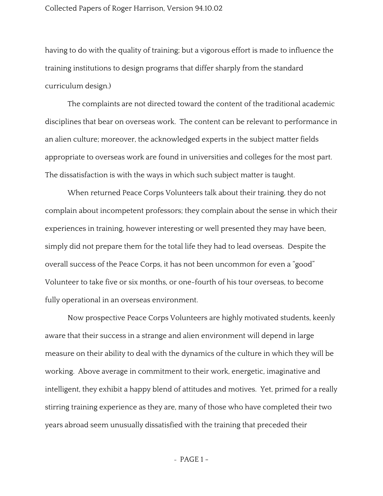having to do with the quality of training; but a vigorous effort is made to influence the training institutions to design programs that differ sharply from the standard curriculum design.)

The complaints are not directed toward the content of the traditional academic disciplines that bear on overseas work. The content can be relevant to performance in an alien culture; moreover, the acknowledged experts in the subject matter fields appropriate to overseas work are found in universities and colleges for the most part. The dissatisfaction is with the ways in which such subject matter is taught.

When returned Peace Corps Volunteers talk about their training, they do not complain about incompetent professors; they complain about the sense in which their experiences in training, however interesting or well presented they may have been, simply did not prepare them for the total life they had to lead overseas. Despite the overall success of the Peace Corps, it has not been uncommon for even a "good" Volunteer to take five or six months, or one-fourth of his tour overseas, to become fully operational in an overseas environment.

Now prospective Peace Corps Volunteers are highly motivated students, keenly aware that their success in a strange and alien environment will depend in large measure on their ability to deal with the dynamics of the culture in which they will be working. Above average in commitment to their work, energetic, imaginative and intelligent, they exhibit a happy blend of attitudes and motives. Yet, primed for a really stirring training experience as they are, many of those who have completed their two years abroad seem unusually dissatisfied with the training that preceded their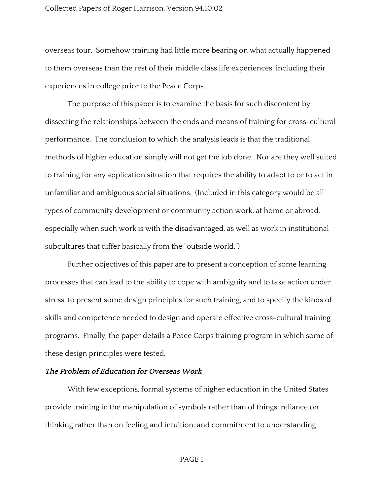overseas tour. Somehow training had little more bearing on what actually happened to them overseas than the rest of their middle class life experiences, including their experiences in college prior to the Peace Corps.

The purpose of this paper is to examine the basis for such discontent by dissecting the relationships between the ends and means of training for cross-cultural performance. The conclusion to which the analysis leads is that the traditional methods of higher education simply will not get the job done. Nor are they well suited to training for any application situation that requires the ability to adapt to or to act in unfamiliar and ambiguous social situations. (Included in this category would be all types of community development or community action work, at home or abroad, especially when such work is with the disadvantaged, as well as work in institutional subcultures that differ basically from the "outside world.")

Further objectives of this paper are to present a conception of some learning processes that can lead to the ability to cope with ambiguity and to take action under stress, to present some design principles for such training, and to specify the kinds of skills and competence needed to design and operate effective cross-cultural training programs. Finally, the paper details a Peace Corps training program in which some of these design principles were tested.

#### **The Problem of Education for Overseas Work**

With few exceptions, formal systems of higher education in the United States provide training in the manipulation of symbols rather than of things; reliance on thinking rather than on feeling and intuition; and commitment to understanding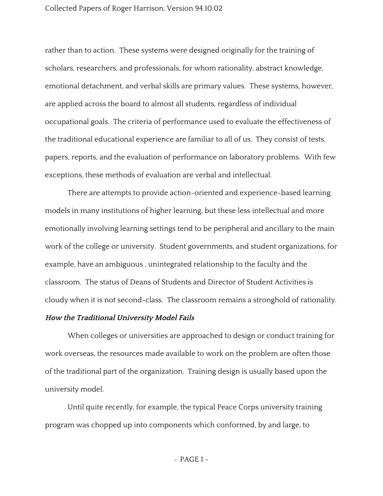rather than to action. These systems were designed originally for the training of scholars, researchers, and professionals, for whom rationality, abstract knowledge, emotional detachment, and verbal skills are primary values. These systems, however, are applied across the board to almost all students, regardless of individual occupational goals. The criteria of performance used to evaluate the effectiveness of the traditional educational experience are familiar to all of us. They consist of tests, papers, reports, and the evaluation of performance on laboratory problems. With few exceptions, these methods of evaluation are verbal and intellectual.

There are attempts to provide action-oriented and experience-based learning models in many institutions of higher learning, but these less intellectual and more emotionally involving learning settings tend to be peripheral and ancillary to the main work of the college or university. Student governments, and student organizations, for example, have an ambiguous , unintegrated relationship to the faculty and the classroom. The status of Deans of Students and Director of Student Activities is cloudy when it is not second-class. The classroom remains a stronghold of rationality.

#### **How the Traditional University Model Fails**

When colleges or universities are approached to design or conduct training for work overseas, the resources made available to work on the problem are often those of the traditional part of the organization. Training design is usually based upon the university model.

Until quite recently, for example, the typical Peace Corps university training program was chopped up into components which conformed, by and large, to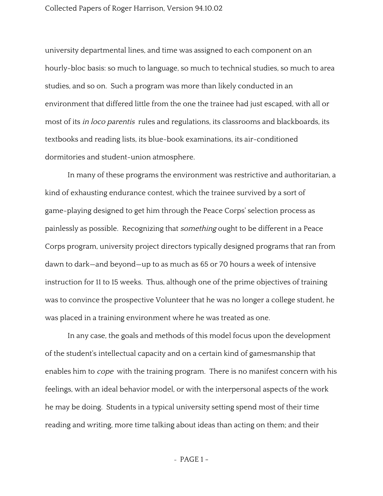university departmental lines, and time was assigned to each component on an hourly-bloc basis: so much to language, so much to technical studies, so much to area studies, and so on. Such a program was more than likely conducted in an environment that differed little from the one the trainee had just escaped, with all or most of its *in loco parentis* rules and regulations, its classrooms and blackboards, its textbooks and reading lists, its blue-book examinations, its air-conditioned dormitories and student-union atmosphere.

In many of these programs the environment was restrictive and authoritarian, a kind of exhausting endurance contest, which the trainee survived by a sort of game-playing designed to get him through the Peace Corps' selection process as painlessly as possible. Recognizing that something ought to be different in a Peace Corps program, university project directors typically designed programs that ran from dawn to dark—and beyond—up to as much as 65 or 70 hours a week of intensive instruction for 11 to 15 weeks. Thus, although one of the prime objectives of training was to convince the prospective Volunteer that he was no longer a college student, he was placed in a training environment where he was treated as one.

In any case, the goals and methods of this model focus upon the development of the student's intellectual capacity and on a certain kind of gamesmanship that enables him to cope with the training program. There is no manifest concern with his feelings, with an ideal behavior model, or with the interpersonal aspects of the work he may be doing. Students in a typical university setting spend most of their time reading and writing, more time talking about ideas than acting on them; and their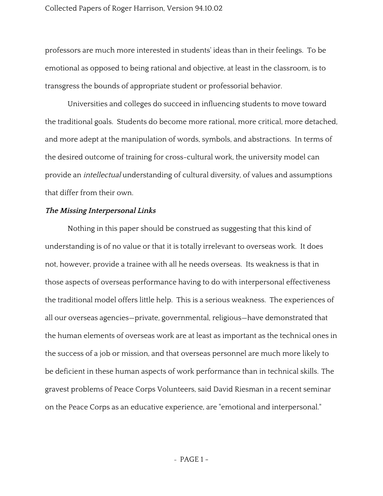professors are much more interested in students' ideas than in their feelings. To be emotional as opposed to being rational and objective, at least in the classroom, is to transgress the bounds of appropriate student or professorial behavior.

Universities and colleges do succeed in influencing students to move toward the traditional goals. Students do become more rational, more critical, more detached, and more adept at the manipulation of words, symbols, and abstractions. In terms of the desired outcome of training for cross-cultural work, the university model can provide an intellectual understanding of cultural diversity, of values and assumptions that differ from their own.

#### **The Missing Interpersonal Links**

Nothing in this paper should be construed as suggesting that this kind of understanding is of no value or that it is totally irrelevant to overseas work. It does not, however, provide a trainee with all he needs overseas. Its weakness is that in those aspects of overseas performance having to do with interpersonal effectiveness the traditional model offers little help. This is a serious weakness. The experiences of all our overseas agencies—private, governmental, religious—have demonstrated that the human elements of overseas work are at least as important as the technical ones in the success of a job or mission, and that overseas personnel are much more likely to be deficient in these human aspects of work performance than in technical skills. The gravest problems of Peace Corps Volunteers, said David Riesman in a recent seminar on the Peace Corps as an educative experience, are "emotional and interpersonal."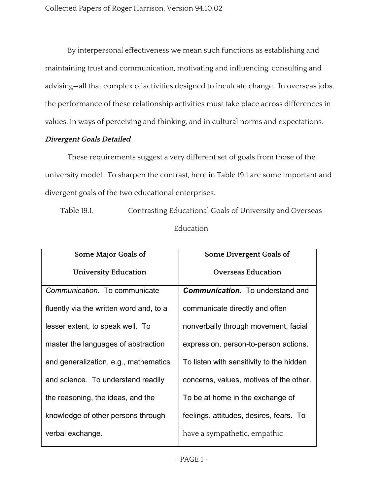By interpersonal effectiveness we mean such functions as establishing and maintaining trust and communication, motivating and influencing, consulting and advising—all that complex of activities designed to inculcate change. In overseas jobs, the performance of these relationship activities must take place across differences in values, in ways of perceiving and thinking, and in cultural norms and expectations.

## **Divergent Goals Detailed**

These requirements suggest a very different set of goals from those of the university model. To sharpen the contrast, here in Table 19.1 are some important and divergent goals of the two educational enterprises.

Table 19.1. Contrasting Educational Goals of University and Overseas

| Some Major Goals of                     | Some Divergent Goals of                  |
|-----------------------------------------|------------------------------------------|
| University Education                    | <b>Overseas Education</b>                |
| Communication. To communicate           | <b>Communication.</b> To understand and  |
| fluently via the written word and, to a | communicate directly and often           |
| lesser extent, to speak well. To        | nonverbally through movement, facial     |
| master the languages of abstraction     | expression, person-to-person actions.    |
| and generalization, e.g., mathematics   | To listen with sensitivity to the hidden |
| and science. To understand readily      | concerns, values, motives of the other.  |
| the reasoning, the ideas, and the       | To be at home in the exchange of         |
| knowledge of other persons through      | feelings, attitudes, desires, fears. To  |
| verbal exchange.                        | have a sympathetic, empathic             |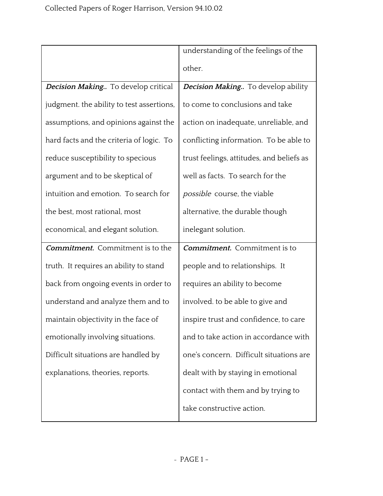|                                           | understanding of the feelings of the      |
|-------------------------------------------|-------------------------------------------|
|                                           | other.                                    |
| Decision Making To develop critical       | Decision Making To develop ability        |
| judgment. the ability to test assertions, | to come to conclusions and take           |
| assumptions, and opinions against the     | action on inadequate, unreliable, and     |
| hard facts and the criteria of logic. To  | conflicting information. To be able to    |
| reduce susceptibility to specious         | trust feelings, attitudes, and beliefs as |
| argument and to be skeptical of           | well as facts. To search for the          |
| intuition and emotion. To search for      | <i>possible</i> course, the viable        |
| the best, most rational, most             | alternative, the durable though           |
| economical, and elegant solution.         | inelegant solution.                       |
| <b>Commitment.</b> Commitment is to the   | <b>Commitment.</b> Commitment is to       |
| truth. It requires an ability to stand    | people and to relationships. It           |
| back from ongoing events in order to      | requires an ability to become             |
| understand and analyze them and to        | involved. to be able to give and          |
| maintain objectivity in the face of       | inspire trust and confidence, to care     |
| emotionally involving situations.         | and to take action in accordance with     |
| Difficult situations are handled by       | one's concern. Difficult situations are   |
| explanations, theories, reports.          | dealt with by staying in emotional        |
|                                           | contact with them and by trying to        |
|                                           | take constructive action.                 |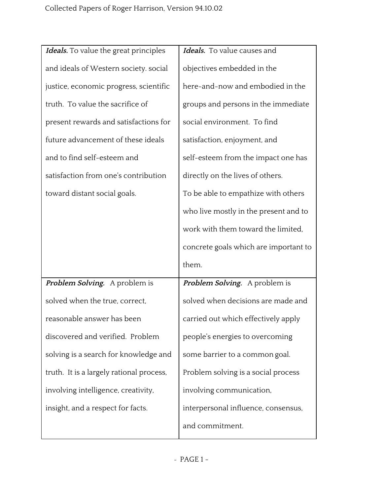| Ideals. To value the great principles    | Ideals. To value causes and           |
|------------------------------------------|---------------------------------------|
| and ideals of Western society. social    | objectives embedded in the            |
| justice, economic progress, scientific   | here-and-now and embodied in the      |
| truth. To value the sacrifice of         | groups and persons in the immediate   |
| present rewards and satisfactions for    | social environment. To find           |
| future advancement of these ideals       | satisfaction, enjoyment, and          |
| and to find self-esteem and              | self-esteem from the impact one has   |
| satisfaction from one's contribution     | directly on the lives of others.      |
| toward distant social goals.             | To be able to empathize with others   |
|                                          | who live mostly in the present and to |
|                                          | work with them toward the limited,    |
|                                          |                                       |
|                                          | concrete goals which are important to |
|                                          | them.                                 |
| Problem Solving. A problem is            | <b>Problem Solving.</b> A problem is  |
| solved when the true, correct,           | solved when decisions are made and    |
| reasonable answer has been               | carried out which effectively apply   |
| discovered and verified. Problem         | people's energies to overcoming       |
| solving is a search for knowledge and    | some barrier to a common goal.        |
| truth. It is a largely rational process, | Problem solving is a social process   |
| involving intelligence, creativity,      | involving communication,              |
| insight, and a respect for facts.        | interpersonal influence, consensus,   |
|                                          | and commitment.                       |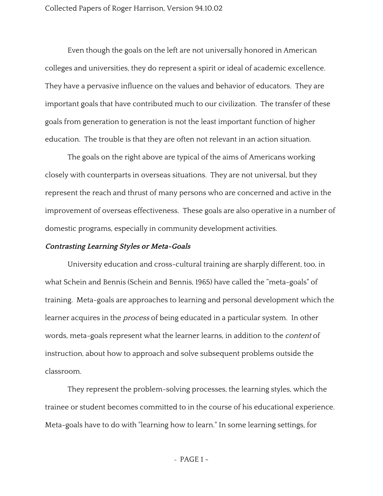Even though the goals on the left are not universally honored in American colleges and universities, they do represent a spirit or ideal of academic excellence. They have a pervasive influence on the values and behavior of educators. They are important goals that have contributed much to our civilization. The transfer of these goals from generation to generation is not the least important function of higher education. The trouble is that they are often not relevant in an action situation.

The goals on the right above are typical of the aims of Americans working closely with counterparts in overseas situations. They are not universal, but they represent the reach and thrust of many persons who are concerned and active in the improvement of overseas effectiveness. These goals are also operative in a number of domestic programs, especially in community development activities.

#### **Contrasting Learning Styles or Meta-Goals**

University education and cross-cultural training are sharply different, too, in what Schein and Bennis (Schein and Bennis, 1965) have called the "meta-goals" of training. Meta-goals are approaches to learning and personal development which the learner acquires in the *process* of being educated in a particular system. In other words, meta-goals represent what the learner learns, in addition to the content of instruction, about how to approach and solve subsequent problems outside the classroom.

They represent the problem-solving processes, the learning styles, which the trainee or student becomes committed to in the course of his educational experience. Meta-goals have to do with "learning how to learn." In some learning settings, for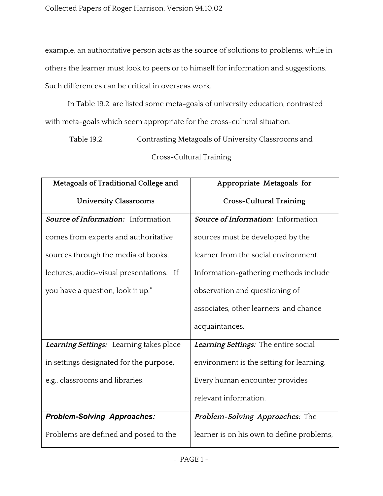example, an authoritative person acts as the source of solutions to problems, while in others the learner must look to peers or to himself for information and suggestions. Such differences can be critical in overseas work.

In Table 19.2. are listed some meta-goals of university education, contrasted with meta-goals which seem appropriate for the cross-cultural situation.

Table 19.2. Contrasting Metagoals of University Classrooms and

Cross-Cultural Training

| Metagoals of Traditional College and      | Appropriate Metagoals for                 |
|-------------------------------------------|-------------------------------------------|
| <b>University Classrooms</b>              | <b>Cross-Cultural Training</b>            |
| <b>Source of Information:</b> Information | <b>Source of Information:</b> Information |
| comes from experts and authoritative      | sources must be developed by the          |
| sources through the media of books,       | learner from the social environment.      |
| lectures, audio-visual presentations. "If | Information-gathering methods include     |
| you have a question, look it up."         | observation and questioning of            |
|                                           | associates, other learners, and chance    |
|                                           | acquaintances.                            |
| Learning Settings: Learning takes place   | Learning Settings: The entire social      |
| in settings designated for the purpose,   | environment is the setting for learning.  |
| e.g., classrooms and libraries.           | Every human encounter provides            |
|                                           | relevant information.                     |
| <b>Problem-Solving Approaches:</b>        | Problem-Solving Approaches: The           |
| Problems are defined and posed to the     | learner is on his own to define problems, |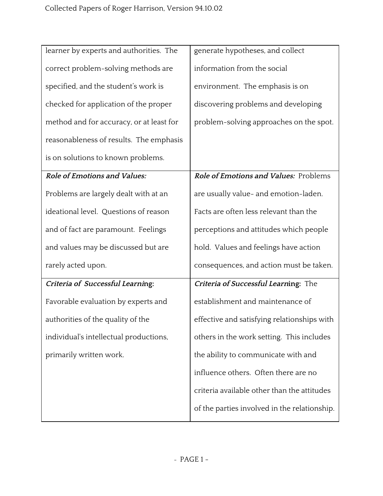| learner by experts and authorities. The  | generate hypotheses, and collect             |
|------------------------------------------|----------------------------------------------|
| correct problem-solving methods are      | information from the social                  |
| specified, and the student's work is     | environment. The emphasis is on              |
| checked for application of the proper    | discovering problems and developing          |
| method and for accuracy, or at least for | problem-solving approaches on the spot.      |
| reasonableness of results. The emphasis  |                                              |
| is on solutions to known problems.       |                                              |
| Role of Emotions and Values:             | Role of Emotions and Values: Problems        |
| Problems are largely dealt with at an    | are usually value- and emotion-laden.        |
| ideational level. Questions of reason    | Facts are often less relevant than the       |
| and of fact are paramount. Feelings      | perceptions and attitudes which people       |
| and values may be discussed but are      | hold. Values and feelings have action        |
| rarely acted upon.                       | consequences, and action must be taken.      |
| Criteria of Successful Learning:         | Criteria of Successful Learning: The         |
| Favorable evaluation by experts and      | establishment and maintenance of             |
| authorities of the quality of the        | effective and satisfying relationships with  |
| individual's intellectual productions,   | others in the work setting. This includes    |
| primarily written work.                  | the ability to communicate with and          |
|                                          | influence others. Often there are no         |
|                                          | criteria available other than the attitudes  |
|                                          | of the parties involved in the relationship. |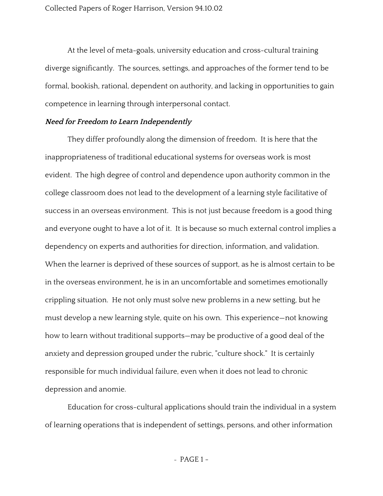At the level of meta-goals, university education and cross-cultural training diverge significantly. The sources, settings, and approaches of the former tend to be formal, bookish, rational, dependent on authority, and lacking in opportunities to gain competence in learning through interpersonal contact.

#### **Need for Freedom to Learn Independently**

They differ profoundly along the dimension of freedom. It is here that the inappropriateness of traditional educational systems for overseas work is most evident. The high degree of control and dependence upon authority common in the college classroom does not lead to the development of a learning style facilitative of success in an overseas environment. This is not just because freedom is a good thing and everyone ought to have a lot of it. It is because so much external control implies a dependency on experts and authorities for direction, information, and validation. When the learner is deprived of these sources of support, as he is almost certain to be in the overseas environment, he is in an uncomfortable and sometimes emotionally crippling situation. He not only must solve new problems in a new setting, but he must develop a new learning style, quite on his own. This experience—not knowing how to learn without traditional supports—may be productive of a good deal of the anxiety and depression grouped under the rubric, "culture shock." It is certainly responsible for much individual failure, even when it does not lead to chronic depression and anomie.

Education for cross-cultural applications should train the individual in a system of learning operations that is independent of settings, persons, and other information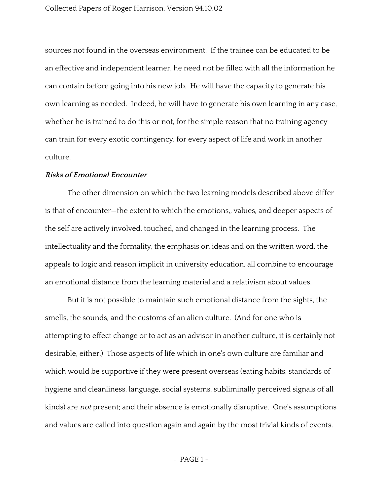sources not found in the overseas environment. If the trainee can be educated to be an effective and independent learner, he need not be filled with all the information he can contain before going into his new job. He will have the capacity to generate his own learning as needed. Indeed, he will have to generate his own learning in any case, whether he is trained to do this or not, for the simple reason that no training agency can train for every exotic contingency, for every aspect of life and work in another culture.

#### **Risks of Emotional Encounter**

The other dimension on which the two learning models described above differ is that of encounter—the extent to which the emotions,, values, and deeper aspects of the self are actively involved, touched, and changed in the learning process. The intellectuality and the formality, the emphasis on ideas and on the written word, the appeals to logic and reason implicit in university education, all combine to encourage an emotional distance from the learning material and a relativism about values.

But it is not possible to maintain such emotional distance from the sights, the smells, the sounds, and the customs of an alien culture. (And for one who is attempting to effect change or to act as an advisor in another culture, it is certainly not desirable, either.) Those aspects of life which in one's own culture are familiar and which would be supportive if they were present overseas (eating habits, standards of hygiene and cleanliness, language, social systems, subliminally perceived signals of all kinds) are not present; and their absence is emotionally disruptive. One's assumptions and values are called into question again and again by the most trivial kinds of events.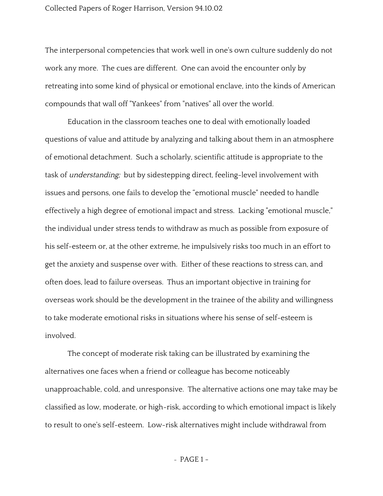The interpersonal competencies that work well in one's own culture suddenly do not work any more. The cues are different. One can avoid the encounter only by retreating into some kind of physical or emotional enclave, into the kinds of American compounds that wall off "Yankees" from "natives" all over the world.

Education in the classroom teaches one to deal with emotionally loaded questions of value and attitude by analyzing and talking about them in an atmosphere of emotional detachment. Such a scholarly, scientific attitude is appropriate to the task of *understanding;* but by sidestepping direct, feeling-level involvement with issues and persons, one fails to develop the "emotional muscle" needed to handle effectively a high degree of emotional impact and stress. Lacking "emotional muscle," the individual under stress tends to withdraw as much as possible from exposure of his self-esteem or, at the other extreme, he impulsively risks too much in an effort to get the anxiety and suspense over with. Either of these reactions to stress can, and often does, lead to failure overseas. Thus an important objective in training for overseas work should be the development in the trainee of the ability and willingness to take moderate emotional risks in situations where his sense of self-esteem is involved.

The concept of moderate risk taking can be illustrated by examining the alternatives one faces when a friend or colleague has become noticeably unapproachable, cold, and unresponsive. The alternative actions one may take may be classified as low, moderate, or high-risk, according to which emotional impact is likely to result to one's self-esteem. Low-risk alternatives might include withdrawal from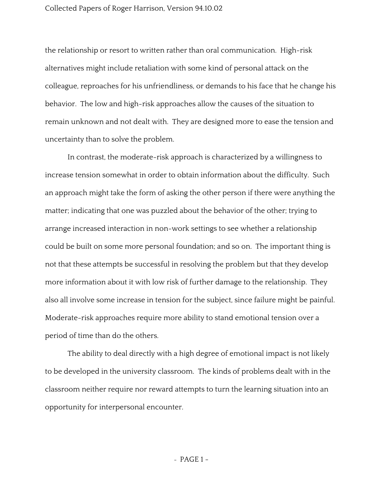the relationship or resort to written rather than oral communication. High-risk alternatives might include retaliation with some kind of personal attack on the colleague, reproaches for his unfriendliness, or demands to his face that he change his behavior. The low and high-risk approaches allow the causes of the situation to remain unknown and not dealt with. They are designed more to ease the tension and uncertainty than to solve the problem.

In contrast, the moderate-risk approach is characterized by a willingness to increase tension somewhat in order to obtain information about the difficulty. Such an approach might take the form of asking the other person if there were anything the matter; indicating that one was puzzled about the behavior of the other; trying to arrange increased interaction in non-work settings to see whether a relationship could be built on some more personal foundation; and so on. The important thing is not that these attempts be successful in resolving the problem but that they develop more information about it with low risk of further damage to the relationship. They also all involve some increase in tension for the subject, since failure might be painful. Moderate-risk approaches require more ability to stand emotional tension over a period of time than do the others.

The ability to deal directly with a high degree of emotional impact is not likely to be developed in the university classroom. The kinds of problems dealt with in the classroom neither require nor reward attempts to turn the learning situation into an opportunity for interpersonal encounter.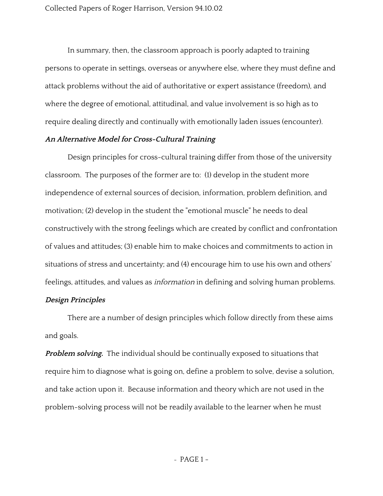In summary, then, the classroom approach is poorly adapted to training persons to operate in settings, overseas or anywhere else, where they must define and attack problems without the aid of authoritative or expert assistance (freedom), and where the degree of emotional, attitudinal, and value involvement is so high as to require dealing directly and continually with emotionally laden issues (encounter).

#### **An Alternative Model for Cross-Cultural Training**

Design principles for cross-cultural training differ from those of the university classroom. The purposes of the former are to: (1) develop in the student more independence of external sources of decision, information, problem definition, and motivation; (2) develop in the student the "emotional muscle" he needs to deal constructively with the strong feelings which are created by conflict and confrontation of values and attitudes; (3) enable him to make choices and commitments to action in situations of stress and uncertainty; and (4) encourage him to use his own and others' feelings, attitudes, and values as information in defining and solving human problems. **Design Principles**

There are a number of design principles which follow directly from these aims and goals.

**Problem solving.** The individual should be continually exposed to situations that require him to diagnose what is going on, define a problem to solve, devise a solution, and take action upon it. Because information and theory which are not used in the problem-solving process will not be readily available to the learner when he must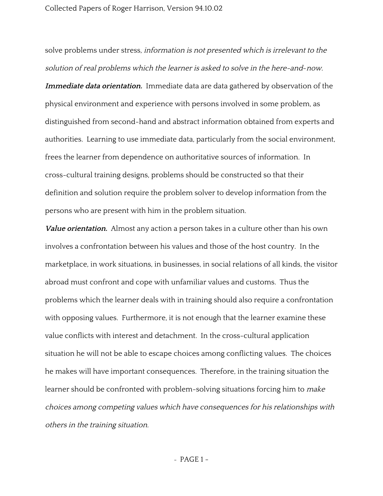solve problems under stress, information is not presented which is irrelevant to the solution of real problems which the learner is asked to solve in the here-and-now. **Immediate data orientation.**Immediate data are data gathered by observation of the physical environment and experience with persons involved in some problem, as distinguished from second-hand and abstract information obtained from experts and authorities. Learning to use immediate data, particularly from the social environment, frees the learner from dependence on authoritative sources of information. In cross-cultural training designs, problems should be constructed so that their definition and solution require the problem solver to develop information from the persons who are present with him in the problem situation.

**Value orientation.**Almost any action a person takes in a culture other than his own involves a confrontation between his values and those of the host country. In the marketplace, in work situations, in businesses, in social relations of all kinds, the visitor abroad must confront and cope with unfamiliar values and customs. Thus the problems which the learner deals with in training should also require a confrontation with opposing values. Furthermore, it is not enough that the learner examine these value conflicts with interest and detachment. In the cross-cultural application situation he will not be able to escape choices among conflicting values. The choices he makes will have important consequences. Therefore, in the training situation the learner should be confronted with problem-solving situations forcing him to *make* choices among competing values which have consequences for his relationships with others in the training situation.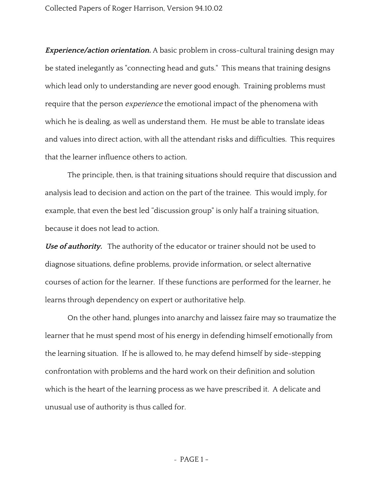**Experience/action orientation.**A basic problem in cross-cultural training design may be stated inelegantly as "connecting head and guts." This means that training designs which lead only to understanding are never good enough. Training problems must require that the person *experience* the emotional impact of the phenomena with which he is dealing, as well as understand them. He must be able to translate ideas and values into direct action, with all the attendant risks and difficulties. This requires that the learner influence others to action.

The principle, then, is that training situations should require that discussion and analysis lead to decision and action on the part of the trainee. This would imply, for example, that even the best led "discussion group" is only half a training situation, because it does not lead to action.

**Use of authority.** The authority of the educator or trainer should not be used to diagnose situations, define problems, provide information, or select alternative courses of action for the learner. If these functions are performed for the learner, he learns through dependency on expert or authoritative help.

On the other hand, plunges into anarchy and laissez faire may so traumatize the learner that he must spend most of his energy in defending himself emotionally from the learning situation. If he is allowed to, he may defend himself by side-stepping confrontation with problems and the hard work on their definition and solution which is the heart of the learning process as we have prescribed it. A delicate and unusual use of authority is thus called for.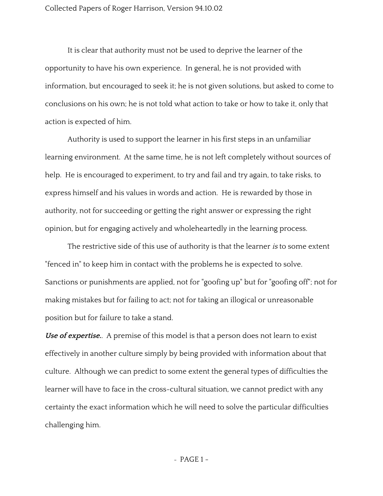It is clear that authority must not be used to deprive the learner of the opportunity to have his own experience. In general, he is not provided with information, but encouraged to seek it; he is not given solutions, but asked to come to conclusions on his own; he is not told what action to take or how to take it, only that action is expected of him.

Authority is used to support the learner in his first steps in an unfamiliar learning environment. At the same time, he is not left completely without sources of help. He is encouraged to experiment, to try and fail and try again, to take risks, to express himself and his values in words and action. He is rewarded by those in authority, not for succeeding or getting the right answer or expressing the right opinion, but for engaging actively and wholeheartedly in the learning process.

The restrictive side of this use of authority is that the learner is to some extent "fenced in" to keep him in contact with the problems he is expected to solve. Sanctions or punishments are applied, not for "goofing up" but for "goofing off"; not for making mistakes but for failing to act; not for taking an illogical or unreasonable position but for failure to take a stand.

**Use of expertise.**. A premise of this model is that a person does not learn to exist effectively in another culture simply by being provided with information about that culture. Although we can predict to some extent the general types of difficulties the learner will have to face in the cross-cultural situation, we cannot predict with any certainty the exact information which he will need to solve the particular difficulties challenging him.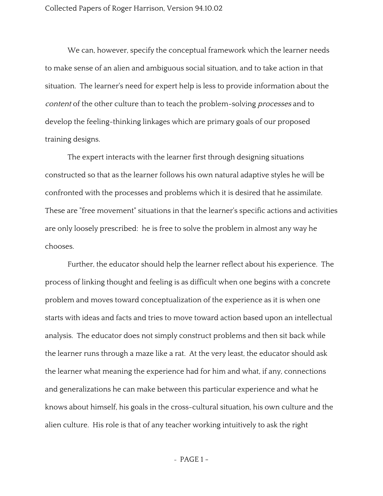We can, however, specify the conceptual framework which the learner needs to make sense of an alien and ambiguous social situation, and to take action in that situation. The learner's need for expert help is less to provide information about the content of the other culture than to teach the problem-solving *processes* and to develop the feeling-thinking linkages which are primary goals of our proposed training designs.

The expert interacts with the learner first through designing situations constructed so that as the learner follows his own natural adaptive styles he will be confronted with the processes and problems which it is desired that he assimilate. These are "free movement" situations in that the learner's specific actions and activities are only loosely prescribed: he is free to solve the problem in almost any way he chooses.

Further, the educator should help the learner reflect about his experience. The process of linking thought and feeling is as difficult when one begins with a concrete problem and moves toward conceptualization of the experience as it is when one starts with ideas and facts and tries to move toward action based upon an intellectual analysis. The educator does not simply construct problems and then sit back while the learner runs through a maze like a rat. At the very least, the educator should ask the learner what meaning the experience had for him and what, if any, connections and generalizations he can make between this particular experience and what he knows about himself, his goals in the cross-cultural situation, his own culture and the alien culture. His role is that of any teacher working intuitively to ask the right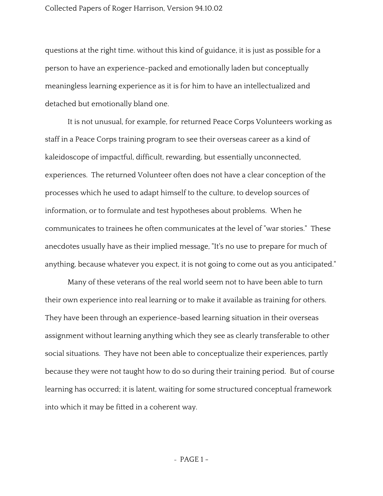questions at the right time. without this kind of guidance, it is just as possible for a person to have an experience-packed and emotionally laden but conceptually meaningless learning experience as it is for him to have an intellectualized and detached but emotionally bland one.

It is not unusual, for example, for returned Peace Corps Volunteers working as staff in a Peace Corps training program to see their overseas career as a kind of kaleidoscope of impactful, difficult, rewarding, but essentially unconnected, experiences. The returned Volunteer often does not have a clear conception of the processes which he used to adapt himself to the culture, to develop sources of information, or to formulate and test hypotheses about problems. When he communicates to trainees he often communicates at the level of "war stories." These anecdotes usually have as their implied message, "It's no use to prepare for much of anything, because whatever you expect, it is not going to come out as you anticipated."

Many of these veterans of the real world seem not to have been able to turn their own experience into real learning or to make it available as training for others. They have been through an experience-based learning situation in their overseas assignment without learning anything which they see as clearly transferable to other social situations. They have not been able to conceptualize their experiences, partly because they were not taught how to do so during their training period. But of course learning has occurred; it is latent, waiting for some structured conceptual framework into which it may be fitted in a coherent way.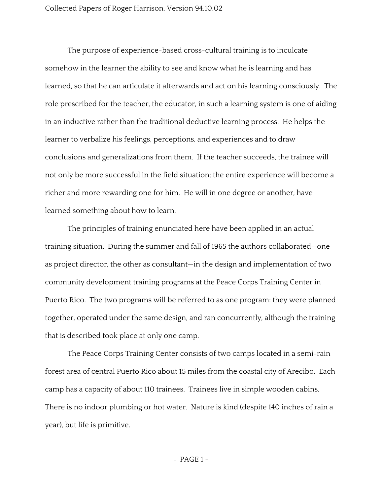The purpose of experience-based cross-cultural training is to inculcate somehow in the learner the ability to see and know what he is learning and has learned, so that he can articulate it afterwards and act on his learning consciously. The role prescribed for the teacher, the educator, in such a learning system is one of aiding in an inductive rather than the traditional deductive learning process. He helps the learner to verbalize his feelings, perceptions, and experiences and to draw conclusions and generalizations from them. If the teacher succeeds, the trainee will not only be more successful in the field situation; the entire experience will become a richer and more rewarding one for him. He will in one degree or another, have learned something about how to learn.

The principles of training enunciated here have been applied in an actual training situation. During the summer and fall of 1965 the authors collaborated—one as project director, the other as consultant—in the design and implementation of two community development training programs at the Peace Corps Training Center in Puerto Rico. The two programs will be referred to as one program: they were planned together, operated under the same design, and ran concurrently, although the training that is described took place at only one camp.

The Peace Corps Training Center consists of two camps located in a semi-rain forest area of central Puerto Rico about 15 miles from the coastal city of Arecibo. Each camp has a capacity of about 110 trainees. Trainees live in simple wooden cabins. There is no indoor plumbing or hot water. Nature is kind (despite 140 inches of rain a year), but life is primitive.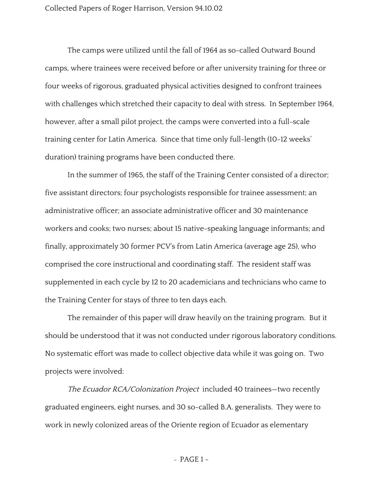The camps were utilized until the fall of 1964 as so-called Outward Bound camps, where trainees were received before or after university training for three or four weeks of rigorous, graduated physical activities designed to confront trainees with challenges which stretched their capacity to deal with stress. In September 1964, however, after a small pilot project, the camps were converted into a full-scale training center for Latin America. Since that time only full-length (10-12 weeks' duration) training programs have been conducted there.

In the summer of 1965, the staff of the Training Center consisted of a director; five assistant directors; four psychologists responsible for trainee assessment; an administrative officer; an associate administrative officer and 30 maintenance workers and cooks; two nurses; about 15 native-speaking language informants; and finally, approximately 30 former PCV's from Latin America (average age 25), who comprised the core instructional and coordinating staff. The resident staff was supplemented in each cycle by 12 to 20 academicians and technicians who came to the Training Center for stays of three to ten days each.

The remainder of this paper will draw heavily on the training program. But it should be understood that it was not conducted under rigorous laboratory conditions. No systematic effort was made to collect objective data while it was going on. Two projects were involved:

The Ecuador RCA/Colonization Project included 40 trainees—two recently graduated engineers, eight nurses, and 30 so-called B.A. generalists. They were to work in newly colonized areas of the Oriente region of Ecuador as elementary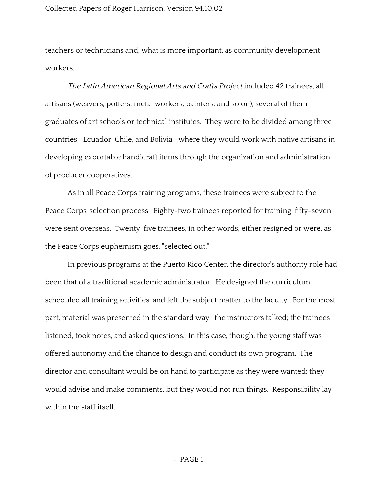teachers or technicians and, what is more important, as community development workers.

The Latin American Regional Arts and Crafts Project included 42 trainees, all artisans (weavers, potters, metal workers, painters, and so on), several of them graduates of art schools or technical institutes. They were to be divided among three countries—Ecuador, Chile, and Bolivia—where they would work with native artisans in developing exportable handicraft items through the organization and administration of producer cooperatives.

As in all Peace Corps training programs, these trainees were subject to the Peace Corps' selection process. Eighty-two trainees reported for training; fifty-seven were sent overseas. Twenty-five trainees, in other words, either resigned or were, as the Peace Corps euphemism goes, "selected out."

In previous programs at the Puerto Rico Center, the director's authority role had been that of a traditional academic administrator. He designed the curriculum, scheduled all training activities, and left the subject matter to the faculty. For the most part, material was presented in the standard way: the instructors talked; the trainees listened, took notes, and asked questions. In this case, though, the young staff was offered autonomy and the chance to design and conduct its own program. The director and consultant would be on hand to participate as they were wanted; they would advise and make comments, but they would not run things. Responsibility lay within the staff itself.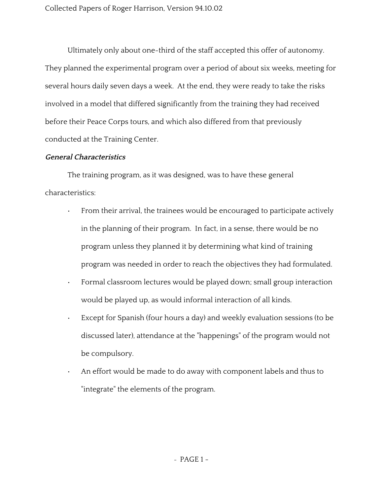Ultimately only about one-third of the staff accepted this offer of autonomy. They planned the experimental program over a period of about six weeks, meeting for several hours daily seven days a week. At the end, they were ready to take the risks involved in a model that differed significantly from the training they had received before their Peace Corps tours, and which also differed from that previously conducted at the Training Center.

## **General Characteristics**

The training program, as it was designed, was to have these general characteristics:

- From their arrival, the trainees would be encouraged to participate actively in the planning of their program. In fact, in a sense, there would be no program unless they planned it by determining what kind of training program was needed in order to reach the objectives they had formulated.
- Formal classroom lectures would be played down; small group interaction would be played up, as would informal interaction of all kinds.
- Except for Spanish (four hours a day) and weekly evaluation sessions (to be discussed later), attendance at the "happenings" of the program would not be compulsory.
- An effort would be made to do away with component labels and thus to "integrate" the elements of the program.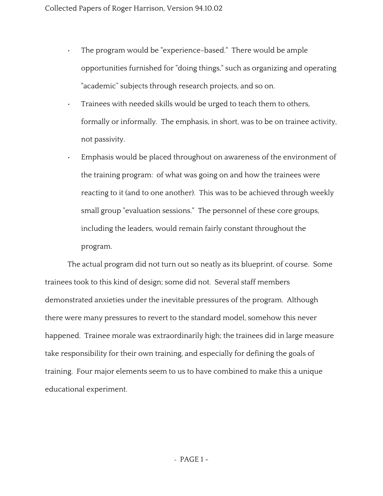- The program would be "experience-based." There would be ample opportunities furnished for "doing things," such as organizing and operating "academic" subjects through research projects, and so on.
- Trainees with needed skills would be urged to teach them to others, formally or informally. The emphasis, in short, was to be on trainee activity, not passivity.
	- Emphasis would be placed throughout on awareness of the environment of the training program: of what was going on and how the trainees were reacting to it (and to one another). This was to be achieved through weekly small group "evaluation sessions." The personnel of these core groups, including the leaders, would remain fairly constant throughout the program.

The actual program did not turn out so neatly as its blueprint, of course. Some trainees took to this kind of design; some did not. Several staff members demonstrated anxieties under the inevitable pressures of the program. Although there were many pressures to revert to the standard model, somehow this never happened. Trainee morale was extraordinarily high; the trainees did in large measure take responsibility for their own training, and especially for defining the goals of training. Four major elements seem to us to have combined to make this a unique educational experiment.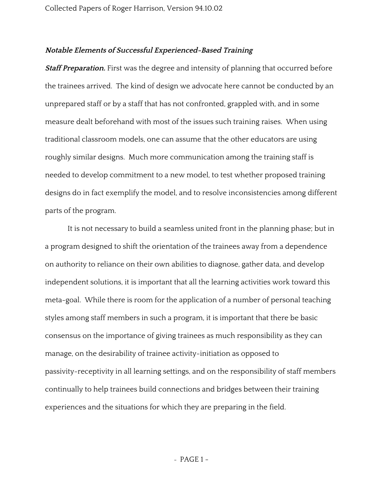#### **Notable Elements of Successful Experienced-Based Training**

**Staff Preparation.**First was the degree and intensity of planning that occurred before the trainees arrived. The kind of design we advocate here cannot be conducted by an unprepared staff or by a staff that has not confronted, grappled with, and in some measure dealt beforehand with most of the issues such training raises. When using traditional classroom models, one can assume that the other educators are using roughly similar designs. Much more communication among the training staff is needed to develop commitment to a new model, to test whether proposed training designs do in fact exemplify the model, and to resolve inconsistencies among different parts of the program.

It is not necessary to build a seamless united front in the planning phase; but in a program designed to shift the orientation of the trainees away from a dependence on authority to reliance on their own abilities to diagnose, gather data, and develop independent solutions, it is important that all the learning activities work toward this meta-goal. While there is room for the application of a number of personal teaching styles among staff members in such a program, it is important that there be basic consensus on the importance of giving trainees as much responsibility as they can manage, on the desirability of trainee activity-initiation as opposed to passivity-receptivity in all learning settings, and on the responsibility of staff members continually to help trainees build connections and bridges between their training experiences and the situations for which they are preparing in the field.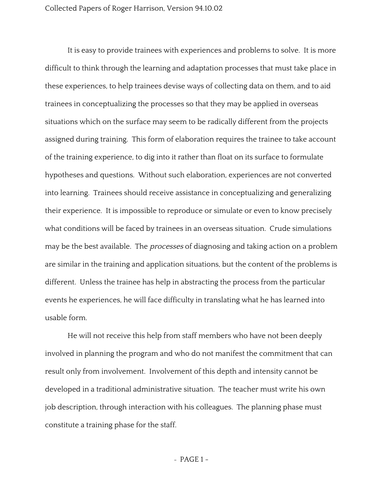It is easy to provide trainees with experiences and problems to solve. It is more difficult to think through the learning and adaptation processes that must take place in these experiences, to help trainees devise ways of collecting data on them, and to aid trainees in conceptualizing the processes so that they may be applied in overseas situations which on the surface may seem to be radically different from the projects assigned during training. This form of elaboration requires the trainee to take account of the training experience, to dig into it rather than float on its surface to formulate hypotheses and questions. Without such elaboration, experiences are not converted into learning. Trainees should receive assistance in conceptualizing and generalizing their experience. It is impossible to reproduce or simulate or even to know precisely what conditions will be faced by trainees in an overseas situation. Crude simulations may be the best available. The *processes* of diagnosing and taking action on a problem are similar in the training and application situations, but the content of the problems is different. Unless the trainee has help in abstracting the process from the particular events he experiences, he will face difficulty in translating what he has learned into usable form.

He will not receive this help from staff members who have not been deeply involved in planning the program and who do not manifest the commitment that can result only from involvement. Involvement of this depth and intensity cannot be developed in a traditional administrative situation. The teacher must write his own job description, through interaction with his colleagues. The planning phase must constitute a training phase for the staff.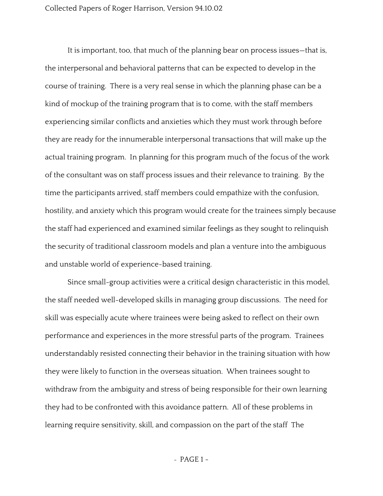It is important, too, that much of the planning bear on process issues—that is, the interpersonal and behavioral patterns that can be expected to develop in the course of training. There is a very real sense in which the planning phase can be a kind of mockup of the training program that is to come, with the staff members experiencing similar conflicts and anxieties which they must work through before they are ready for the innumerable interpersonal transactions that will make up the actual training program. In planning for this program much of the focus of the work of the consultant was on staff process issues and their relevance to training. By the time the participants arrived, staff members could empathize with the confusion, hostility, and anxiety which this program would create for the trainees simply because the staff had experienced and examined similar feelings as they sought to relinquish the security of traditional classroom models and plan a venture into the ambiguous and unstable world of experience-based training.

Since small-group activities were a critical design characteristic in this model, the staff needed well-developed skills in managing group discussions. The need for skill was especially acute where trainees were being asked to reflect on their own performance and experiences in the more stressful parts of the program. Trainees understandably resisted connecting their behavior in the training situation with how they were likely to function in the overseas situation. When trainees sought to withdraw from the ambiguity and stress of being responsible for their own learning they had to be confronted with this avoidance pattern. All of these problems in learning require sensitivity, skill, and compassion on the part of the staff The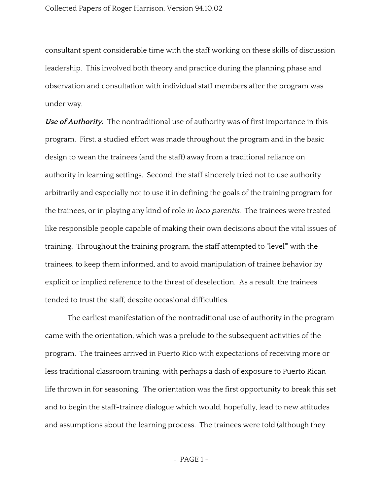consultant spent considerable time with the staff working on these skills of discussion leadership. This involved both theory and practice during the planning phase and observation and consultation with individual staff members after the program was under way.

**Use of Authority.** The nontraditional use of authority was of first importance in this program. First, a studied effort was made throughout the program and in the basic design to wean the trainees (and the staff) away from a traditional reliance on authority in learning settings. Second, the staff sincerely tried not to use authority arbitrarily and especially not to use it in defining the goals of the training program for the trainees, or in playing any kind of role in loco parentis. The trainees were treated like responsible people capable of making their own decisions about the vital issues of training. Throughout the training program, the staff attempted to "level"' with the trainees, to keep them informed, and to avoid manipulation of trainee behavior by explicit or implied reference to the threat of deselection. As a result, the trainees tended to trust the staff, despite occasional difficulties.

The earliest manifestation of the nontraditional use of authority in the program came with the orientation, which was a prelude to the subsequent activities of the program. The trainees arrived in Puerto Rico with expectations of receiving more or less traditional classroom training, with perhaps a dash of exposure to Puerto Rican life thrown in for seasoning. The orientation was the first opportunity to break this set and to begin the staff-trainee dialogue which would, hopefully, lead to new attitudes and assumptions about the learning process. The trainees were told (although they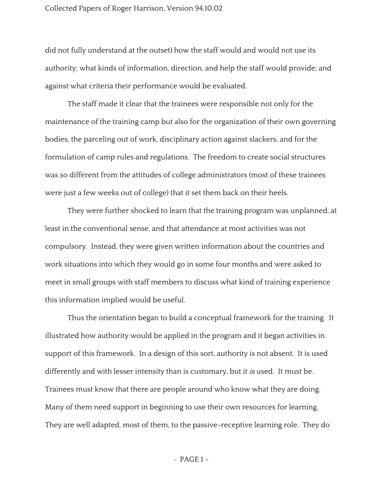did not fully understand at the outset) how the staff would and would not use its authority; what kinds of information, direction, and help the staff would provide; and against what criteria their performance would be evaluated.

The staff made it clear that the trainees were responsible not only for the maintenance of the training camp but also for the organization of their own governing bodies, the parceling out of work, disciplinary action against slackers, and for the formulation of camp rules and regulations. The freedom to create social structures was so different from the attitudes of college administrators (most of these trainees were just a few weeks out of college) that it set them back on their heels.

They were further shocked to learn that the training program was unplanned, at least in the conventional sense, and that attendance at most activities was not compulsory. Instead, they were given written information about the countries and work situations into which they would go in some four months and were asked to meet in small groups with staff members to discuss what kind of training experience this information implied would be useful.

Thus the orientation began to build a conceptual framework for the training. It illustrated how authority would be applied in the program and it began activities in support of this framework. In a design of this sort, authority is not absent. It is used differently and with lesser intensity than is customary, but it is used. It must be. Trainees must know that there are people around who know what they are doing. Many of them need support in beginning to use their own resources for learning. They are well adapted, most of them, to the passive-receptive learning role. They do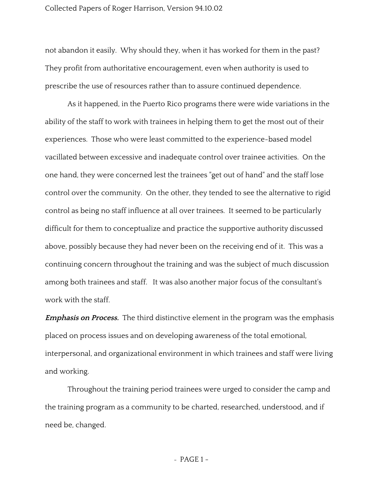not abandon it easily. Why should they, when it has worked for them in the past? They profit from authoritative encouragement, even when authority is used to prescribe the use of resources rather than to assure continued dependence.

As it happened, in the Puerto Rico programs there were wide variations in the ability of the staff to work with trainees in helping them to get the most out of their experiences. Those who were least committed to the experience-based model vacillated between excessive and inadequate control over trainee activities. On the one hand, they were concerned lest the trainees "get out of hand" and the staff lose control over the community. On the other, they tended to see the alternative to rigid control as being no staff influence at all over trainees. It seemed to be particularly difficult for them to conceptualize and practice the supportive authority discussed above, possibly because they had never been on the receiving end of it. This was a continuing concern throughout the training and was the subject of much discussion among both trainees and staff. It was also another major focus of the consultant's work with the staff.

**Emphasis on Process.** The third distinctive element in the program was the emphasis placed on process issues and on developing awareness of the total emotional, interpersonal, and organizational environment in which trainees and staff were living and working.

Throughout the training period trainees were urged to consider the camp and the training program as a community to be charted, researched, understood, and if need be, changed.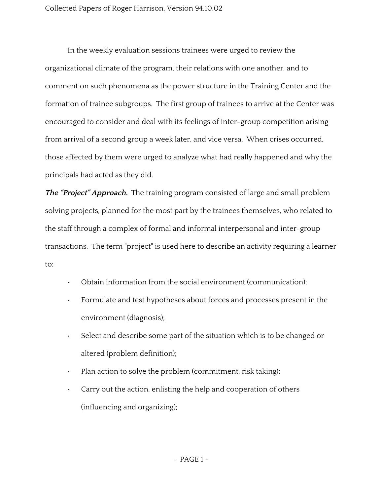In the weekly evaluation sessions trainees were urged to review the organizational climate of the program, their relations with one another, and to comment on such phenomena as the power structure in the Training Center and the formation of trainee subgroups. The first group of trainees to arrive at the Center was encouraged to consider and deal with its feelings of inter-group competition arising from arrival of a second group a week later, and vice versa. When crises occurred, those affected by them were urged to analyze what had really happened and why the principals had acted as they did.

**The "Project" Approach.** The training program consisted of large and small problem solving projects, planned for the most part by the trainees themselves, who related to the staff through a complex of formal and informal interpersonal and inter-group transactions. The term "project" is used here to describe an activity requiring a learner to:

- Obtain information from the social environment (communication);
- Formulate and test hypotheses about forces and processes present in the environment (diagnosis);
- Select and describe some part of the situation which is to be changed or altered (problem definition);
- Plan action to solve the problem (commitment, risk taking);
- Carry out the action, enlisting the help and cooperation of others (influencing and organizing);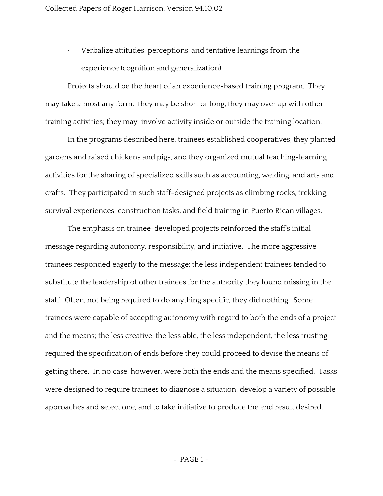• Verbalize attitudes, perceptions, and tentative learnings from the experience (cognition and generalization).

Projects should be the heart of an experience-based training program. They may take almost any form: they may be short or long; they may overlap with other training activities; they may involve activity inside or outside the training location.

In the programs described here, trainees established cooperatives, they planted gardens and raised chickens and pigs, and they organized mutual teaching-learning activities for the sharing of specialized skills such as accounting, welding, and arts and crafts. They participated in such staff-designed projects as climbing rocks, trekking, survival experiences, construction tasks, and field training in Puerto Rican villages.

The emphasis on trainee-developed projects reinforced the staff's initial message regarding autonomy, responsibility, and initiative. The more aggressive trainees responded eagerly to the message; the less independent trainees tended to substitute the leadership of other trainees for the authority they found missing in the staff. Often, not being required to do anything specific, they did nothing. Some trainees were capable of accepting autonomy with regard to both the ends of a project and the means; the less creative, the less able, the less independent, the less trusting required the specification of ends before they could proceed to devise the means of getting there. In no case, however, were both the ends and the means specified. Tasks were designed to require trainees to diagnose a situation, develop a variety of possible approaches and select one, and to take initiative to produce the end result desired.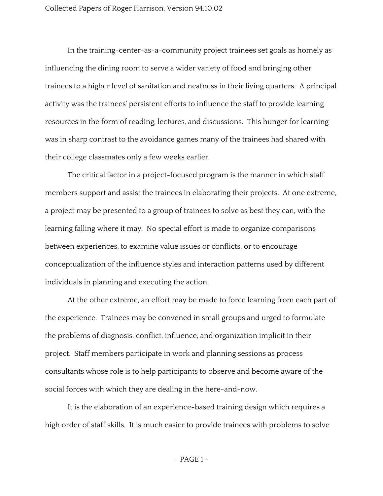In the training-center-as-a-community project trainees set goals as homely as influencing the dining room to serve a wider variety of food and bringing other trainees to a higher level of sanitation and neatness in their living quarters. A principal activity was the trainees' persistent efforts to influence the staff to provide learning resources in the form of reading, lectures, and discussions. This hunger for learning was in sharp contrast to the avoidance games many of the trainees had shared with their college classmates only a few weeks earlier.

The critical factor in a project-focused program is the manner in which staff members support and assist the trainees in elaborating their projects. At one extreme, a project may be presented to a group of trainees to solve as best they can, with the learning falling where it may. No special effort is made to organize comparisons between experiences, to examine value issues or conflicts, or to encourage conceptualization of the influence styles and interaction patterns used by different individuals in planning and executing the action.

At the other extreme, an effort may be made to force learning from each part of the experience. Trainees may be convened in small groups and urged to formulate the problems of diagnosis, conflict, influence, and organization implicit in their project. Staff members participate in work and planning sessions as process consultants whose role is to help participants to observe and become aware of the social forces with which they are dealing in the here-and-now.

It is the elaboration of an experience-based training design which requires a high order of staff skills. It is much easier to provide trainees with problems to solve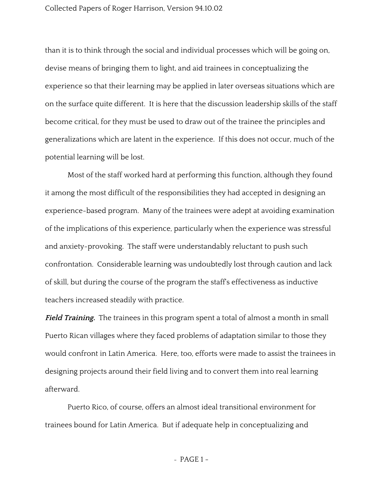than it is to think through the social and individual processes which will be going on, devise means of bringing them to light, and aid trainees in conceptualizing the experience so that their learning may be applied in later overseas situations which are on the surface quite different. It is here that the discussion leadership skills of the staff become critical, for they must be used to draw out of the trainee the principles and generalizations which are latent in the experience. If this does not occur, much of the potential learning will be lost.

Most of the staff worked hard at performing this function, although they found it among the most difficult of the responsibilities they had accepted in designing an experience-based program. Many of the trainees were adept at avoiding examination of the implications of this experience, particularly when the experience was stressful and anxiety-provoking. The staff were understandably reluctant to push such confrontation. Considerable learning was undoubtedly lost through caution and lack of skill, but during the course of the program the staff's effectiveness as inductive teachers increased steadily with practice.

**Field Training.** The trainees in this program spent a total of almost a month in small Puerto Rican villages where they faced problems of adaptation similar to those they would confront in Latin America. Here, too, efforts were made to assist the trainees in designing projects around their field living and to convert them into real learning afterward.

Puerto Rico, of course, offers an almost ideal transitional environment for trainees bound for Latin America. But if adequate help in conceptualizing and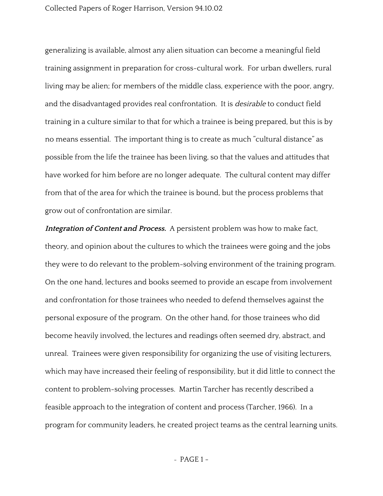generalizing is available, almost any alien situation can become a meaningful field training assignment in preparation for cross-cultural work. For urban dwellers, rural living may be alien; for members of the middle class, experience with the poor, angry, and the disadvantaged provides real confrontation. It is *desirable* to conduct field training in a culture similar to that for which a trainee is being prepared, but this is by no means essential. The important thing is to create as much "cultural distance" as possible from the life the trainee has been living, so that the values and attitudes that have worked for him before are no longer adequate. The cultural content may differ from that of the area for which the trainee is bound, but the process problems that grow out of confrontation are similar.

**Integration of Content and Process.** Apersistent problem was how to make fact, theory, and opinion about the cultures to which the trainees were going and the jobs they were to do relevant to the problem-solving environment of the training program. On the one hand, lectures and books seemed to provide an escape from involvement and confrontation for those trainees who needed to defend themselves against the personal exposure of the program. On the other hand, for those trainees who did become heavily involved, the lectures and readings often seemed dry, abstract, and unreal. Trainees were given responsibility for organizing the use of visiting lecturers, which may have increased their feeling of responsibility, but it did little to connect the content to problem-solving processes. Martin Tarcher has recently described a feasible approach to the integration of content and process (Tarcher, 1966). In a program for community leaders, he created project teams as the central learning units.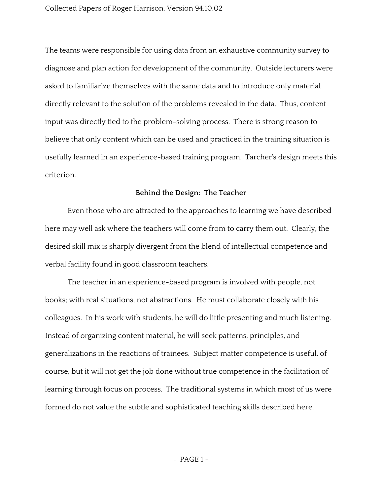The teams were responsible for using data from an exhaustive community survey to diagnose and plan action for development of the community. Outside lecturers were asked to familiarize themselves with the same data and to introduce only material directly relevant to the solution of the problems revealed in the data. Thus, content input was directly tied to the problem-solving process. There is strong reason to believe that only content which can be used and practiced in the training situation is usefully learned in an experience-based training program. Tarcher's design meets this criterion.

#### **Behind the Design: The Teacher**

Even those who are attracted to the approaches to learning we have described here may well ask where the teachers will come from to carry them out. Clearly, the desired skill mix is sharply divergent from the blend of intellectual competence and verbal facility found in good classroom teachers.

The teacher in an experience-based program is involved with people, not books; with real situations, not abstractions. He must collaborate closely with his colleagues. In his work with students, he will do little presenting and much listening. Instead of organizing content material, he will seek patterns, principles, and generalizations in the reactions of trainees. Subject matter competence is useful, of course, but it will not get the job done without true competence in the facilitation of learning through focus on process. The traditional systems in which most of us were formed do not value the subtle and sophisticated teaching skills described here.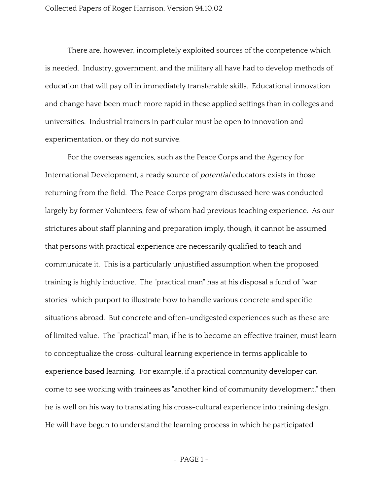There are, however, incompletely exploited sources of the competence which is needed. Industry, government, and the military all have had to develop methods of education that will pay off in immediately transferable skills. Educational innovation and change have been much more rapid in these applied settings than in colleges and universities. Industrial trainers in particular must be open to innovation and experimentation, or they do not survive.

For the overseas agencies, such as the Peace Corps and the Agency for International Development, a ready source of potential educators exists in those returning from the field. The Peace Corps program discussed here was conducted largely by former Volunteers, few of whom had previous teaching experience. As our strictures about staff planning and preparation imply, though, it cannot be assumed that persons with practical experience are necessarily qualified to teach and communicate it. This is a particularly unjustified assumption when the proposed training is highly inductive. The "practical man" has at his disposal a fund of "war stories" which purport to illustrate how to handle various concrete and specific situations abroad. But concrete and often-undigested experiences such as these are of limited value. The "practical" man, if he is to become an effective trainer, must learn to conceptualize the cross-cultural learning experience in terms applicable to experience based learning. For example, if a practical community developer can come to see working with trainees as "another kind of community development," then he is well on his way to translating his cross-cultural experience into training design. He will have begun to understand the learning process in which he participated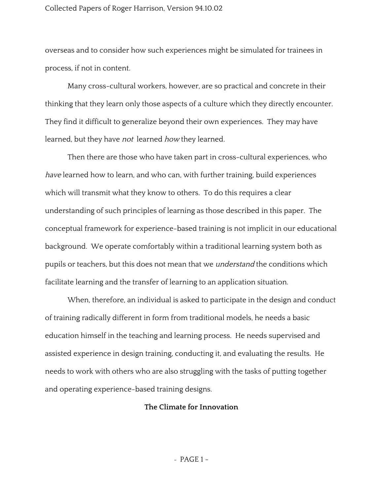overseas and to consider how such experiences might be simulated for trainees in process, if not in content.

Many cross-cultural workers, however, are so practical and concrete in their thinking that they learn only those aspects of a culture which they directly encounter. They find it difficult to generalize beyond their own experiences. They may have learned, but they have not learned how they learned.

Then there are those who have taken part in cross-cultural experiences, who have learned how to learn, and who can, with further training, build experiences which will transmit what they know to others. To do this requires a clear understanding of such principles of learning as those described in this paper. The conceptual framework for experience-based training is not implicit in our educational background. We operate comfortably within a traditional learning system both as pupils or teachers, but this does not mean that we *understand* the conditions which facilitate learning and the transfer of learning to an application situation.

When, therefore, an individual is asked to participate in the design and conduct of training radically different in form from traditional models, he needs a basic education himself in the teaching and learning process. He needs supervised and assisted experience in design training, conducting it, and evaluating the results. He needs to work with others who are also struggling with the tasks of putting together and operating experience-based training designs.

#### **The Climate for Innovation**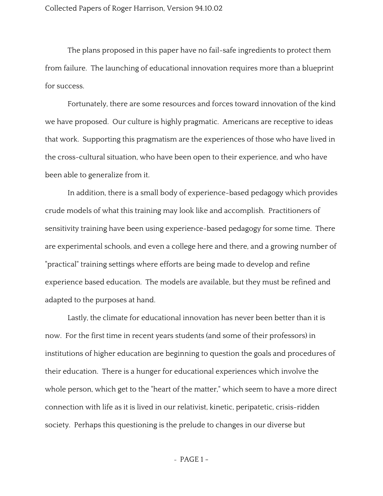The plans proposed in this paper have no fail-safe ingredients to protect them from failure. The launching of educational innovation requires more than a blueprint for success.

Fortunately, there are some resources and forces toward innovation of the kind we have proposed. Our culture is highly pragmatic. Americans are receptive to ideas that work. Supporting this pragmatism are the experiences of those who have lived in the cross-cultural situation, who have been open to their experience, and who have been able to generalize from it.

In addition, there is a small body of experience-based pedagogy which provides crude models of what this training may look like and accomplish. Practitioners of sensitivity training have been using experience-based pedagogy for some time. There are experimental schools, and even a college here and there, and a growing number of "practical" training settings where efforts are being made to develop and refine experience based education. The models are available, but they must be refined and adapted to the purposes at hand.

Lastly, the climate for educational innovation has never been better than it is now. For the first time in recent years students (and some of their professors) in institutions of higher education are beginning to question the goals and procedures of their education. There is a hunger for educational experiences which involve the whole person, which get to the "heart of the matter," which seem to have a more direct connection with life as it is lived in our relativist, kinetic, peripatetic, crisis-ridden society. Perhaps this questioning is the prelude to changes in our diverse but